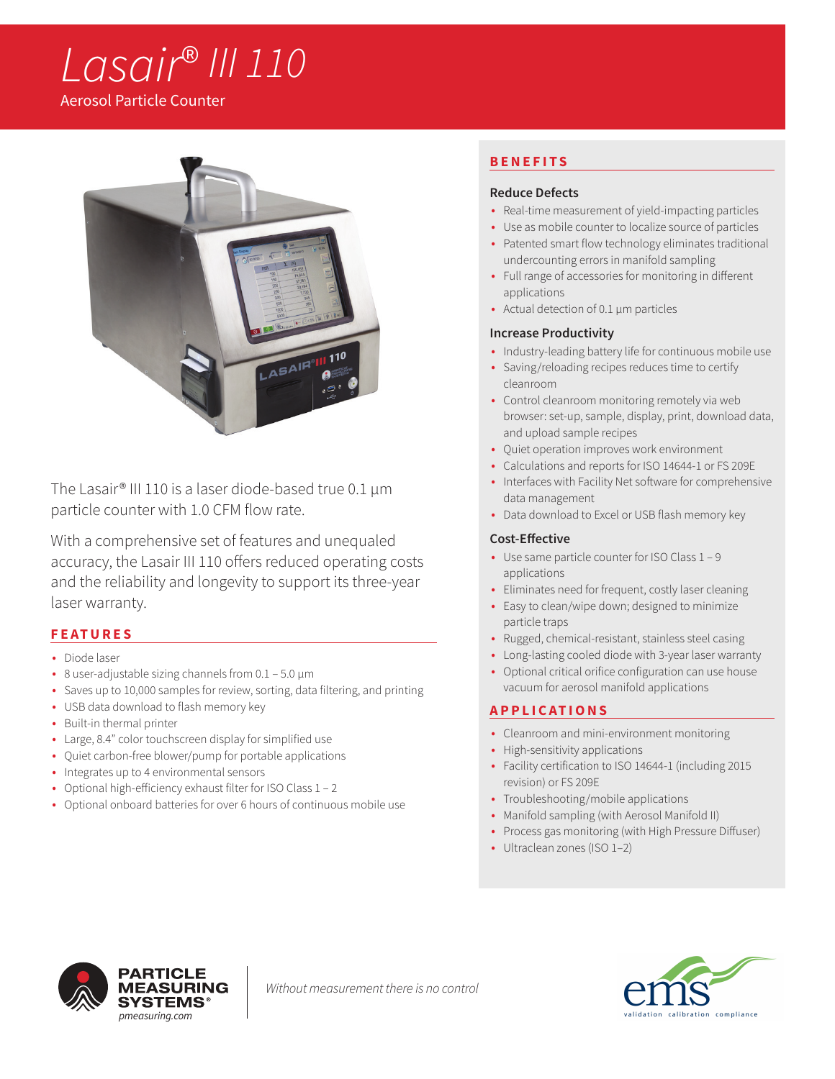# *Lasair*® *III 110*

Aerosol Particle Counter



The Lasair® III 110 is a laser diode-based true 0.1 µm particle counter with 1.0 CFM flow rate.

With a comprehensive set of features and unequaled accuracy, the Lasair III 110 offers reduced operating costs and the reliability and longevity to support its three-year laser warranty.

## **FEATURES**

- Diode laser
- 8 user-adjustable sizing channels from 0.1 5.0 μm
- Saves up to 10,000 samples for review, sorting, data filtering, and printing
- USB data download to flash memory key
- Built-in thermal printer
- Large, 8.4" color touchscreen display for simplified use
- Quiet carbon-free blower/pump for portable applications
- Integrates up to 4 environmental sensors
- Optional high-efficiency exhaust filter for ISO Class 1 2
- Optional onboard batteries for over 6 hours of continuous mobile use

## **BENEFITS**

#### **Reduce Defects**

- Real-time measurement of yield-impacting particles
- Use as mobile counter to localize source of particles
- Patented smart flow technology eliminates traditional undercounting errors in manifold sampling
- Full range of accessories for monitoring in different applications
- Actual detection of 0.1 µm particles

### **Increase Productivity**

- Industry-leading battery life for continuous mobile use
- Saving/reloading recipes reduces time to certify cleanroom
- Control cleanroom monitoring remotely via web browser: set-up, sample, display, print, download data, and upload sample recipes
- Quiet operation improves work environment
- Calculations and reports for ISO 14644-1 or FS 209E
- Interfaces with Facility Net software for comprehensive data management
- Data download to Excel or USB flash memory key

#### **Cost-Effective**

- Use same particle counter for ISO Class 1 9 applications
- Eliminates need for frequent, costly laser cleaning
- Easy to clean/wipe down; designed to minimize particle traps
- Rugged, chemical-resistant, stainless steel casing
- Long-lasting cooled diode with 3-year laser warranty
- Optional critical orifice configuration can use house vacuum for aerosol manifold applications

## **APPLICATIONS**

- Cleanroom and mini-environment monitoring
- High-sensitivity applications
- Facility certification to ISO 14644-1 (including 2015 revision) or FS 209E
- Troubleshooting/mobile applications
- Manifold sampling (with Aerosol Manifold II)
- Process gas monitoring (with High Pressure Diffuser)
- Ultraclean zones (ISO 1–2)



*Without measurement there is no control*